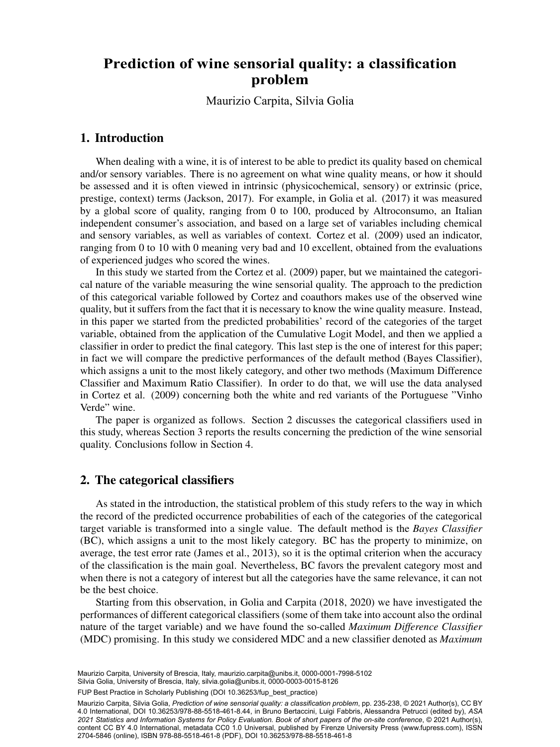#### wine sensorial q<br>problem **Prediction of wine sensorial quality: a classification** proprem

Maurizio Carpita, Silvia Golia

### 1. Introduction

When dealing with a wine, it is of interest to be able to predict its quality based on chemical and/or sensory variables. There is no agreement on what wine quality means, or how it should be assessed and it is often viewed in intrinsic (physicochemical, sensory) or extrinsic (price, prestige, context) terms (Jackson, 2017). For example, in Golia et al. (2017) it was measured by a global score of quality, ranging from 0 to 100, produced by Altroconsumo, an Italian independent consumer's association, and based on a large set of variables including chemical and sensory variables, as well as variables of context. Cortez et al. (2009) used an indicator, ranging from 0 to 10 with 0 meaning very bad and 10 excellent, obtained from the evaluations of experienced judges who scored the wines.

In this study we started from the Cortez et al. (2009) paper, but we maintained the categorical nature of the variable measuring the wine sensorial quality. The approach to the prediction of this categorical variable followed by Cortez and coauthors makes use of the observed wine quality, but it suffers from the fact that it is necessary to know the wine quality measure. Instead, in this paper we started from the predicted probabilities' record of the categories of the target variable, obtained from the application of the Cumulative Logit Model, and then we applied a classifier in order to predict the final category. This last step is the one of interest for this paper; in fact we will compare the predictive performances of the default method (Bayes Classifier), which assigns a unit to the most likely category, and other two methods (Maximum Difference Classifier and Maximum Ratio Classifier). In order to do that, we will use the data analysed in Cortez et al. (2009) concerning both the white and red variants of the Portuguese "Vinho Verde" wine.

The paper is organized as follows. Section 2 discusses the categorical classifiers used in this study, whereas Section 3 reports the results concerning the prediction of the wine sensorial quality. Conclusions follow in Section 4.

### 2. The categorical classifiers

As stated in the introduction, the statistical problem of this study refers to the way in which the record of the predicted occurrence probabilities of each of the categories of the categorical target variable is transformed into a single value. The default method is the *Bayes Classifier* (BC), which assigns a unit to the most likely category. BC has the property to minimize, on average, the test error rate (James et al., 2013), so it is the optimal criterion when the accuracy of the classification is the main goal. Nevertheless, BC favors the prevalent category most and when there is not a category of interest but all the categories have the same relevance, it can not be the best choice.

Starting from this observation, in Golia and Carpita (2018, 2020) we have investigated the performances of different categorical classifiers (some of them take into account also the ordinal nature of the target variable) and we have found the so-called *Maximum Difference Classifier* (MDC) promising. In this study we considered MDC and a new classifier denoted as *Maximum*

Maurizio Carpita, Silvia Golia, *Prediction of wine sensorial quality: a classification problem*, pp. 235-238, © 2021 Author(s), [CC BY](http://creativecommons.org/licenses/by/4.0/legalcode) [4.0 International](http://creativecommons.org/licenses/by/4.0/legalcode), DOI [10.36253/978-88-5518-461-8.44](https://doi.org/10.36253/978-88-5518-461-8.44), in Bruno Bertaccini, Luigi Fabbris, Alessandra Petrucci (edited by), *ASA 2021 Statistics and Information Systems for Policy Evaluation. Book of short papers of the on-site conference*, © 2021 Author(s), content [CC BY 4.0 International,](http://creativecommons.org/licenses/by/4.0/legalcode) metadata [CC0 1.0 Universal](https://creativecommons.org/publicdomain/zero/1.0/legalcode), published by Firenze University Press [\(www.fupress.com](http://www.fupress.com)), ISSN 2704-5846 (online), ISBN 978-88-5518-461-8 (PDF), DOI [10.36253/978-88-5518-461-8](https://doi.org/10.36253/978-88-5518-461-8)

Maurizio Carpita, University of Brescia, Italy, [maurizio.carpita@unibs.it,](mailto:maurizio.carpita@unibs.it) [0000-0001-7998-5102](https://orcid.org/0000-0001-7998-5102) Silvia Golia, University of Brescia, Italy, [silvia.golia@unibs.it,](mailto:silvia.golia@unibs.it) [0000-0003-0015-8126](https://orcid.org/0000-0003-0015-8126)

<sup>219</sup> FUP Best Practice in Scholarly Publishing (DOI [10.36253/fup\\_best\\_practice](https://doi.org/10.36253/fup_best_practice))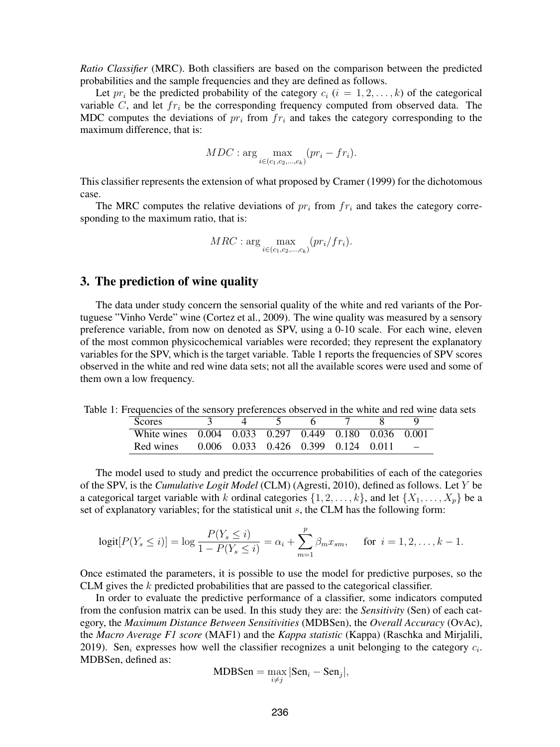*Ratio Classifier* (MRC). Both classifiers are based on the comparison between the predicted probabilities and the sample frequencies and they are defined as follows.

Let  $pr_i$  be the predicted probability of the category  $c_i$   $(i = 1, 2, \ldots, k)$  of the categorical variable  $C$ , and let  $fr_i$  be the corresponding frequency computed from observed data. The MDC computes the deviations of  $pr_i$  from  $fr_i$  and takes the category corresponding to the maximum difference, that is:

$$
MDC: \arg\max_{i \in (c_1, c_2, ..., c_k)} (pr_i - fr_i).
$$

This classifier represents the extension of what proposed by Cramer (1999) for the dichotomous case.

The MRC computes the relative deviations of  $pr_i$  from  $fr_i$  and takes the category corresponding to the maximum ratio, that is:

$$
MRC: \arg\max_{i \in (c_1, c_2, \ldots, c_k)} (pr_i / fr_i).
$$

#### 3. The prediction of wine quality

The data under study concern the sensorial quality of the white and red variants of the Portuguese "Vinho Verde" wine (Cortez et al., 2009). The wine quality was measured by a sensory preference variable, from now on denoted as SPV, using a 0-10 scale. For each wine, eleven of the most common physicochemical variables were recorded; they represent the explanatory variables for the SPV, which is the target variable. Table 1 reports the frequencies of SPV scores observed in the white and red wine data sets; not all the available scores were used and some of them own a low frequency.

Table 1: Frequencies of the sensory preferences observed in the white and red wine data sets

| <b>Scores</b>                                         |  |                                     |  |  |  |
|-------------------------------------------------------|--|-------------------------------------|--|--|--|
| White wines 0.004 0.033 0.297 0.449 0.180 0.036 0.001 |  |                                     |  |  |  |
| Red wines                                             |  | 0.006 0.033 0.426 0.399 0.124 0.011 |  |  |  |

The model used to study and predict the occurrence probabilities of each of the categories of the SPV, is the *Cumulative Logit Model* (CLM) (Agresti, 2010), defined as follows. Let Y be a categorical target variable with k ordinal categories  $\{1, 2, \ldots, k\}$ , and let  $\{X_1, \ldots, X_n\}$  be a set of explanatory variables; for the statistical unit s, the CLM has the following form:

$$
logit[P(Y_s \le i)] = log \frac{P(Y_s \le i)}{1 - P(Y_s \le i)} = \alpha_i + \sum_{m=1}^p \beta_m x_{sm}, \quad \text{for } i = 1, 2, \dots, k - 1.
$$

Once estimated the parameters, it is possible to use the model for predictive purposes, so the CLM gives the k predicted probabilities that are passed to the categorical classifier.

In order to evaluate the predictive performance of a classifier, some indicators computed from the confusion matrix can be used. In this study they are: the *Sensitivity* (Sen) of each category, the *Maximum Distance Between Sensitivities* (MDBSen), the *Overall Accuracy* (OvAc), the *Macro Average F1 score* (MAF1) and the *Kappa statistic* (Kappa) (Raschka and Mirjalili, 2019). Sen<sub>i</sub> expresses how well the classifier recognizes a unit belonging to the category  $c_i$ . MDBSen, defined as:

$$
MDBSen = \max_{i \neq j} |Sen_i - Sen_j|,
$$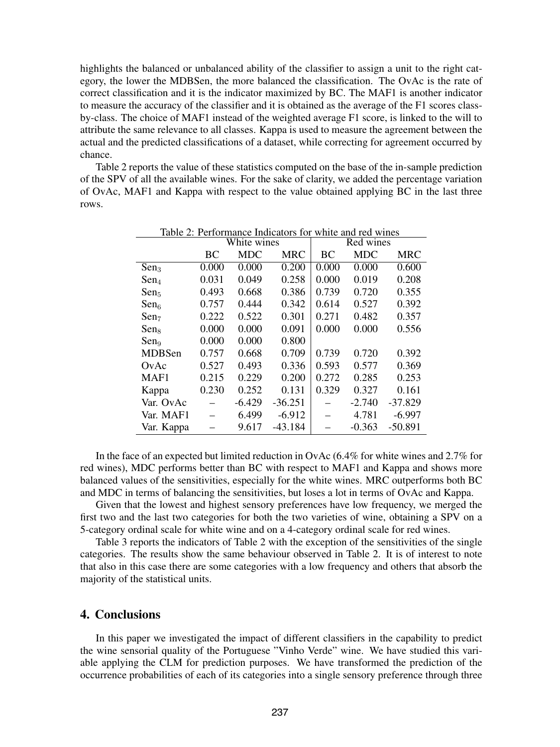highlights the balanced or unbalanced ability of the classifier to assign a unit to the right category, the lower the MDBSen, the more balanced the classification. The OvAc is the rate of correct classification and it is the indicator maximized by BC. The MAF1 is another indicator to measure the accuracy of the classifier and it is obtained as the average of the F1 scores classby-class. The choice of MAF1 instead of the weighted average F1 score, is linked to the will to attribute the same relevance to all classes. Kappa is used to measure the agreement between the actual and the predicted classifications of a dataset, while correcting for agreement occurred by chance.

Table 2 reports the value of these statistics computed on the base of the in-sample prediction of the SPV of all the available wines. For the sake of clarity, we added the percentage variation of OvAc, MAF1 and Kappa with respect to the value obtained applying BC in the last three rows.

| Table 2: Performance Indicators for white and red wines |       |             |            |           |            |            |  |
|---------------------------------------------------------|-------|-------------|------------|-----------|------------|------------|--|
|                                                         |       | White wines |            | Red wines |            |            |  |
|                                                         | BC    | <b>MDC</b>  | <b>MRC</b> | BC        | <b>MDC</b> | <b>MRC</b> |  |
| Sen <sub>3</sub>                                        | 0.000 | 0.000       | 0.200      | 0.000     | 0.000      | 0.600      |  |
| $Sen_4$                                                 | 0.031 | 0.049       | 0.258      | 0.000     | 0.019      | 0.208      |  |
| $Sen_5$                                                 | 0.493 | 0.668       | 0.386      | 0.739     | 0.720      | 0.355      |  |
| $Sen_6$                                                 | 0.757 | 0.444       | 0.342      | 0.614     | 0.527      | 0.392      |  |
| Sen <sub>7</sub>                                        | 0.222 | 0.522       | 0.301      | 0.271     | 0.482      | 0.357      |  |
| $Sen_8$                                                 | 0.000 | 0.000       | 0.091      | 0.000     | 0.000      | 0.556      |  |
| $Sen_9$                                                 | 0.000 | 0.000       | 0.800      |           |            |            |  |
| <b>MDBSen</b>                                           | 0.757 | 0.668       | 0.709      | 0.739     | 0.720      | 0.392      |  |
| OvAc                                                    | 0.527 | 0.493       | 0.336      | 0.593     | 0.577      | 0.369      |  |
| MAF1                                                    | 0.215 | 0.229       | 0.200      | 0.272     | 0.285      | 0.253      |  |
| Kappa                                                   | 0.230 | 0.252       | 0.131      | 0.329     | 0.327      | 0.161      |  |
| Var. OvAc                                               |       | $-6.429$    | $-36.251$  |           | $-2.740$   | $-37.829$  |  |
| Var. MAF1                                               |       | 6.499       | $-6.912$   |           | 4.781      | $-6.997$   |  |
| Var. Kappa                                              |       | 9.617       | $-43.184$  |           | $-0.363$   | $-50.891$  |  |

In the face of an expected but limited reduction in OvAc (6.4% for white wines and 2.7% for red wines), MDC performs better than BC with respect to MAF1 and Kappa and shows more balanced values of the sensitivities, especially for the white wines. MRC outperforms both BC and MDC in terms of balancing the sensitivities, but loses a lot in terms of OvAc and Kappa.

Given that the lowest and highest sensory preferences have low frequency, we merged the first two and the last two categories for both the two varieties of wine, obtaining a SPV on a 5-category ordinal scale for white wine and on a 4-category ordinal scale for red wines.

Table 3 reports the indicators of Table 2 with the exception of the sensitivities of the single categories. The results show the same behaviour observed in Table 2. It is of interest to note that also in this case there are some categories with a low frequency and others that absorb the majority of the statistical units.

# 4. Conclusions

In this paper we investigated the impact of different classifiers in the capability to predict the wine sensorial quality of the Portuguese "Vinho Verde" wine. We have studied this variable applying the CLM for prediction purposes. We have transformed the prediction of the occurrence probabilities of each of its categories into a single sensory preference through three